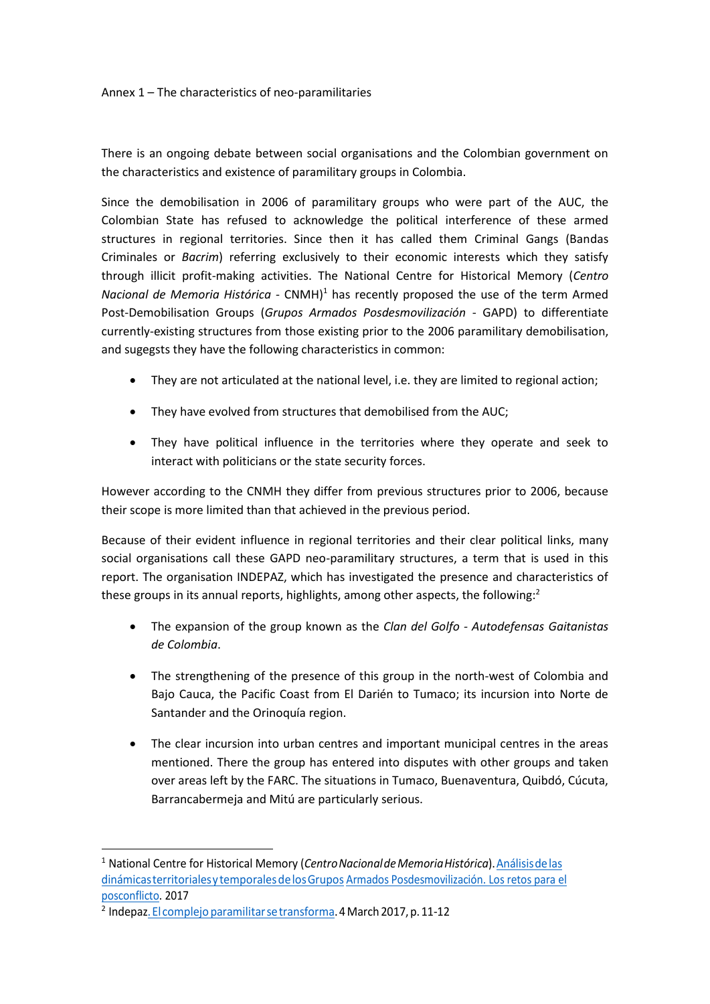Annex 1 – The characteristics of neo-paramilitaries

There is an ongoing debate between social organisations and the Colombian government on the characteristics and existence of paramilitary groups in Colombia.

Since the demobilisation in 2006 of paramilitary groups who were part of the AUC, the Colombian State has refused to acknowledge the political interference of these armed structures in regional territories. Since then it has called them Criminal Gangs (Bandas Criminales or *Bacrim*) referring exclusively to their economic interests which they satisfy through illicit profit-making activities. The National Centre for Historical Memory (*Centro Nacional de Memoria Histórica* - CNMH)<sup>1</sup> has recently proposed the use of the term Armed Post-Demobilisation Groups (*Grupos Armados Posdesmovilización* - GAPD) to differentiate currently-existing structures from those existing prior to the 2006 paramilitary demobilisation, and sugegsts they have the following characteristics in common:

- They are not articulated at the national level, i.e. they are limited to regional action;
- They have evolved from structures that demobilised from the AUC;
- They have political influence in the territories where they operate and seek to interact with politicians or the state security forces.

However according to the CNMH they differ from previous structures prior to 2006, because their scope is more limited than that achieved in the previous period.

Because of their evident influence in regional territories and their clear political links, many social organisations call these GAPD neo-paramilitary structures, a term that is used in this report. The organisation INDEPAZ, which has investigated the presence and characteristics of these groups in its annual reports, highlights, among other aspects, the following:<sup>2</sup>

- The expansion of the group known as the *Clan del Golfo - Autodefensas Gaitanistas de Colombia*.
- The strengthening of the presence of this group in the north-west of Colombia and Bajo Cauca, the Pacific Coast from El Darién to Tumaco; its incursion into Norte de Santander and the Orinoquía region.
- The clear incursion into urban centres and important municipal centres in the areas mentioned. There the group has entered into disputes with other groups and taken over areas left by the FARC. The situations in Tumaco, Buenaventura, Quibdó, Cúcuta, Barrancabermeja and Mitú are particularly serious.

 $\overline{a}$ 

<sup>1</sup> National Centre for Historical Memory (*CentroNacionaldeMemoriaHistórica*).Análisisdelas dinámicasterritorialesytemporalesdelosGrupos Armados Posdesmovilización. Los retos para el posconflicto. 2017

<sup>&</sup>lt;sup>2</sup> Indepaz<u>. El complejo paramilitar se transforma</u>. 4 March 2017, p. 11-12